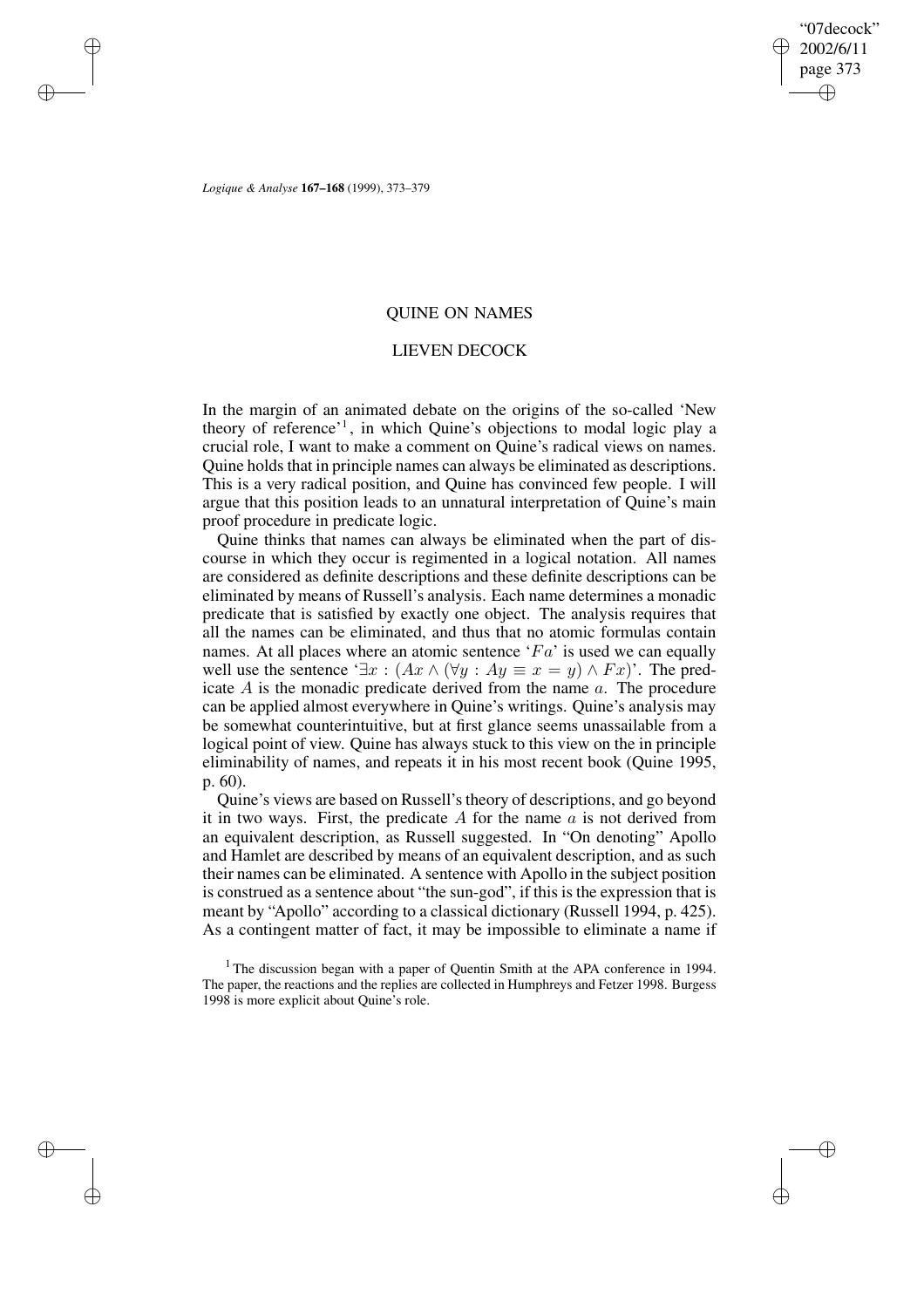✐

✐

*Logique & Analyse* **167–168** (1999), 373–379

✐

✐

✐

✐

# QUINE ON NAMES

## LIEVEN DECOCK

In the margin of an animated debate on the origins of the so-called 'New theory of reference'<sup>1</sup> , in which Quine's objections to modal logic play a crucial role, I want to make a comment on Quine's radical views on names. Quine holds that in principle names can always be eliminated as descriptions. This is a very radical position, and Quine has convinced few people. I will argue that this position leads to an unnatural interpretation of Quine's main proof procedure in predicate logic.

Quine thinks that names can always be eliminated when the part of discourse in which they occur is regimented in a logical notation. All names are considered as definite descriptions and these definite descriptions can be eliminated by means of Russell's analysis. Each name determines a monadic predicate that is satisfied by exactly one object. The analysis requires that all the names can be eliminated, and thus that no atomic formulas contain names. At all places where an atomic sentence  $F_a$  is used we can equally well use the sentence ' $\exists x : (Ax \wedge (\forall y : Ay \equiv x = y) \wedge Fx)$ '. The predicate A is the monadic predicate derived from the name a. The procedure can be applied almost everywhere in Quine's writings. Quine's analysis may be somewhat counterintuitive, but at first glance seems unassailable from a logical point of view. Quine has always stuck to this view on the in principle eliminability of names, and repeats it in his most recent book (Quine 1995, p. 60).

Quine's views are based on Russell'stheory of descriptions, and go beyond it in two ways. First, the predicate A for the name  $\alpha$  is not derived from an equivalent description, as Russell suggested. In "On denoting" Apollo and Hamlet are described by means of an equivalent description, and as such their names can be eliminated. A sentence with Apollo in the subject position is construed as a sentence about "the sun-god", if this is the expression that is meant by "Apollo" according to a classical dictionary (Russell 1994, p. 425). As a contingent matter of fact, it may be impossible to eliminate a name if

<sup>1</sup> The discussion began with a paper of Quentin Smith at the APA conference in 1994. The paper, the reactions and the replies are collected in Humphreys and Fetzer 1998. Burgess 1998 is more explicit about Quine's role.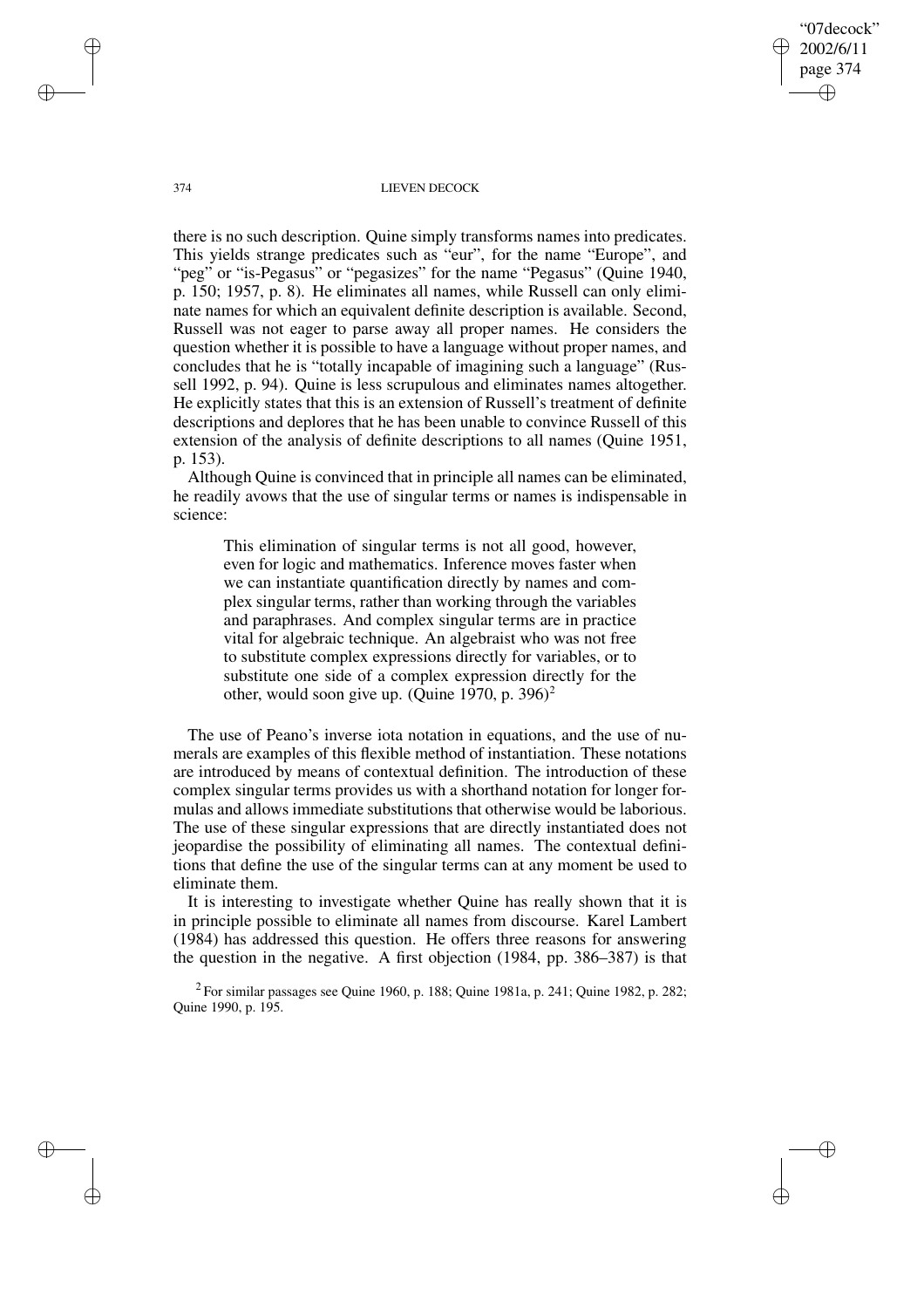"07decock" 2002/6/11 page 374 ✐ ✐

✐

✐

#### 374 LIEVEN DECOCK

there is no such description. Quine simply transforms names into predicates. This yields strange predicates such as "eur", for the name "Europe", and "peg" or "is-Pegasus" or "pegasizes" for the name "Pegasus" (Quine 1940, p. 150; 1957, p. 8). He eliminates all names, while Russell can only eliminate names for which an equivalent definite description is available. Second, Russell was not eager to parse away all proper names. He considers the question whether it is possible to have a language without proper names, and concludes that he is "totally incapable of imagining such a language" (Russell 1992, p. 94). Quine is less scrupulous and eliminates names altogether. He explicitly states that this is an extension of Russell's treatment of definite descriptions and deplores that he has been unable to convince Russell of this extension of the analysis of definite descriptions to all names (Quine 1951, p. 153).

Although Quine is convinced that in principle all names can be eliminated, he readily avows that the use of singular terms or names is indispensable in science:

This elimination of singular terms is not all good, however, even for logic and mathematics. Inference moves faster when we can instantiate quantification directly by names and complex singular terms, rather than working through the variables and paraphrases. And complex singular terms are in practice vital for algebraic technique. An algebraist who was not free to substitute complex expressions directly for variables, or to substitute one side of a complex expression directly for the other, would soon give up. (Quine 1970, p. 396)<sup>2</sup>

The use of Peano's inverse iota notation in equations, and the use of numerals are examples of this flexible method of instantiation. These notations are introduced by means of contextual definition. The introduction of these complex singular terms provides us with a shorthand notation for longer formulas and allows immediate substitutions that otherwise would be laborious. The use of these singular expressions that are directly instantiated does not jeopardise the possibility of eliminating all names. The contextual definitions that define the use of the singular terms can at any moment be used to eliminate them.

It is interesting to investigate whether Quine has really shown that it is in principle possible to eliminate all names from discourse. Karel Lambert (1984) has addressed this question. He offers three reasons for answering the question in the negative. A first objection (1984, pp. 386–387) is that

<sup>2</sup> For similar passages see Quine 1960, p. 188; Quine 1981a, p. 241; Quine 1982, p. 282; Quine 1990, p. 195.

✐

✐

✐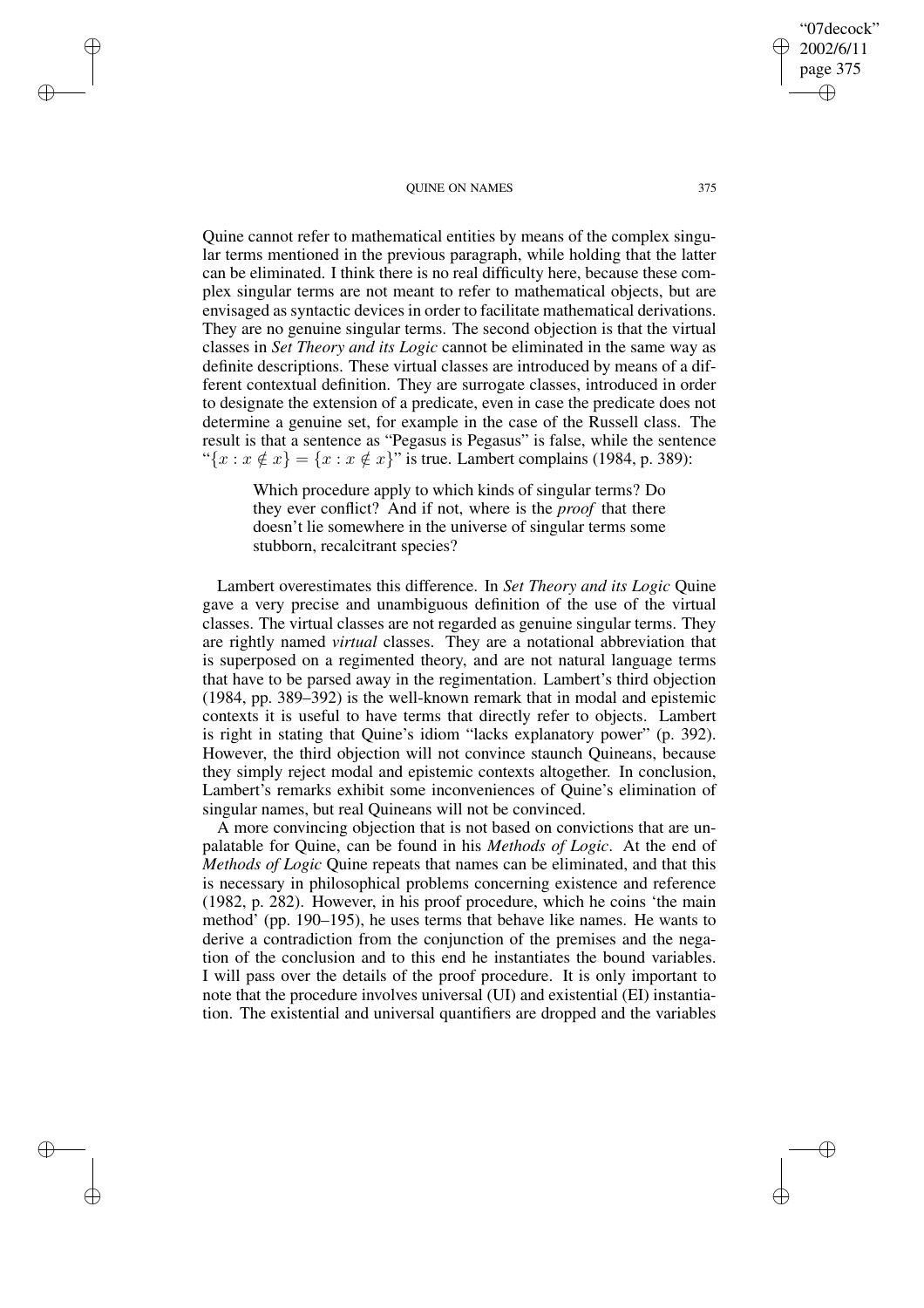#### QUINE ON NAMES 375

✐

✐

✐

✐

Quine cannot refer to mathematical entities by means of the complex singular terms mentioned in the previous paragraph, while holding that the latter can be eliminated. I think there is no real difficulty here, because these complex singular terms are not meant to refer to mathematical objects, but are envisaged as syntactic devices in order to facilitate mathematical derivations. They are no genuine singular terms. The second objection is that the virtual classes in *Set Theory and its Logic* cannot be eliminated in the same way as definite descriptions. These virtual classes are introduced by means of a different contextual definition. They are surrogate classes, introduced in order to designate the extension of a predicate, even in case the predicate does not determine a genuine set, for example in the case of the Russell class. The result is that a sentence as "Pegasus is Pegasus" is false, while the sentence " $\{x : x \notin x\} = \{x : x \notin x\}$ " is true. Lambert complains (1984, p. 389):

Which procedure apply to which kinds of singular terms? Do they ever conflict? And if not, where is the *proof* that there doesn't lie somewhere in the universe of singular terms some stubborn, recalcitrant species?

Lambert overestimates this difference. In *Set Theory and its Logic* Quine gave a very precise and unambiguous definition of the use of the virtual classes. The virtual classes are not regarded as genuine singular terms. They are rightly named *virtual* classes. They are a notational abbreviation that is superposed on a regimented theory, and are not natural language terms that have to be parsed away in the regimentation. Lambert's third objection (1984, pp. 389–392) is the well-known remark that in modal and epistemic contexts it is useful to have terms that directly refer to objects. Lambert is right in stating that Quine's idiom "lacks explanatory power" (p. 392). However, the third objection will not convince staunch Quineans, because they simply reject modal and epistemic contexts altogether. In conclusion, Lambert's remarks exhibit some inconveniences of Quine's elimination of singular names, but real Quineans will not be convinced.

A more convincing objection that is not based on convictions that are unpalatable for Quine, can be found in his *Methods of Logic*. At the end of *Methods of Logic* Quine repeats that names can be eliminated, and that this is necessary in philosophical problems concerning existence and reference (1982, p. 282). However, in his proof procedure, which he coins 'the main method' (pp. 190–195), he uses terms that behave like names. He wants to derive a contradiction from the conjunction of the premises and the negation of the conclusion and to this end he instantiates the bound variables. I will pass over the details of the proof procedure. It is only important to note that the procedure involves universal (UI) and existential (EI) instantiation. The existential and universal quantifiers are dropped and the variables

"07decock" 2002/6/11 page 375

✐

✐

✐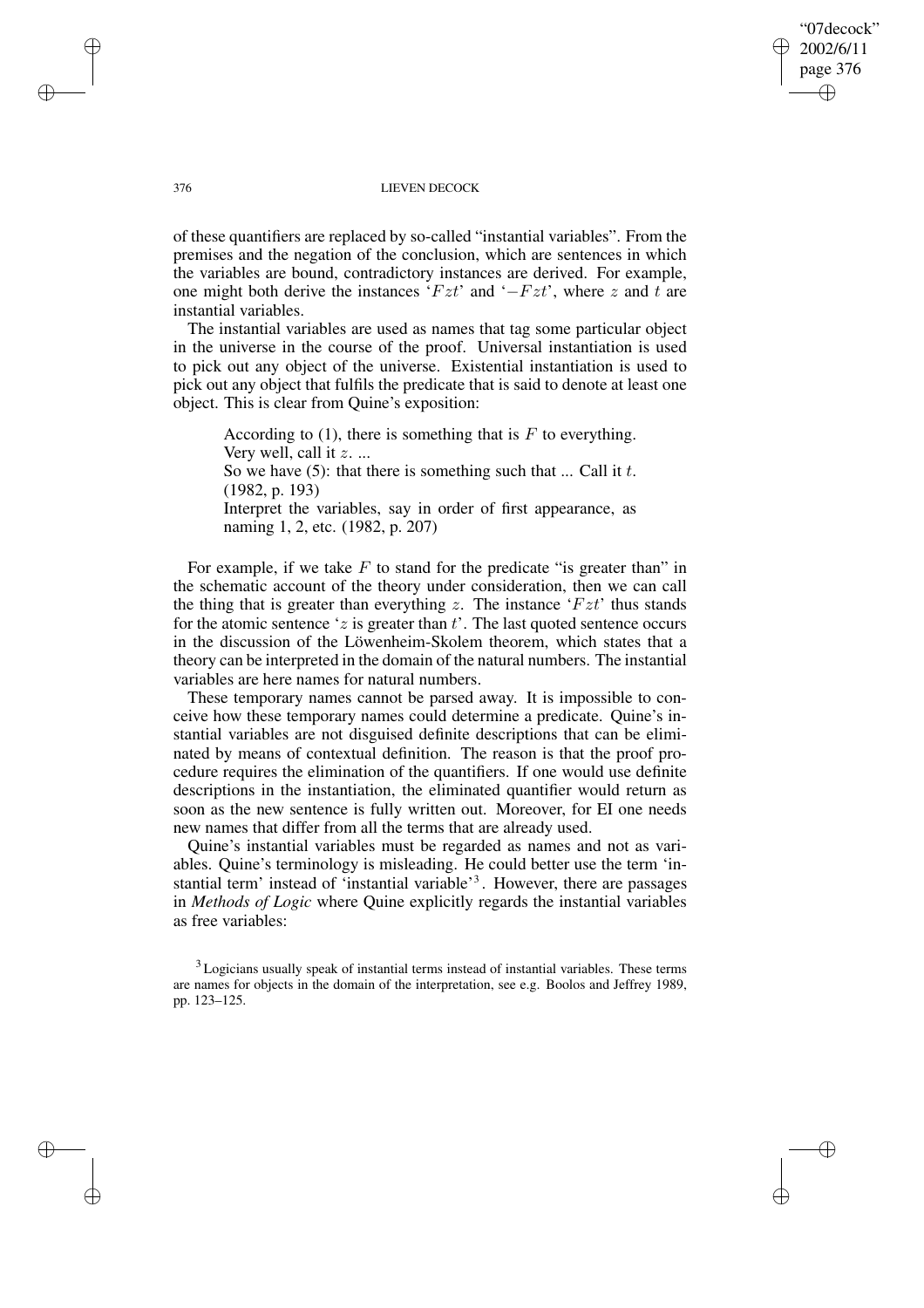### "07decock" 2002/6/11 page 376 ✐ ✐

✐

✐

#### 376 LIEVEN DECOCK

of these quantifiers are replaced by so-called "instantial variables". From the premises and the negation of the conclusion, which are sentences in which the variables are bound, contradictory instances are derived. For example, one might both derive the instances ' $Fzt$ ' and ' $-Fzt$ ', where z and t are instantial variables.

The instantial variables are used as names that tag some particular object in the universe in the course of the proof. Universal instantiation is used to pick out any object of the universe. Existential instantiation is used to pick out any object that fulfils the predicate that is said to denote at least one object. This is clear from Quine's exposition:

According to  $(1)$ , there is something that is F to everything. Very well, call it  $z$ . ... So we have  $(5)$ : that there is something such that ... Call it t. (1982, p. 193) Interpret the variables, say in order of first appearance, as naming 1, 2, etc. (1982, p. 207)

For example, if we take  $F$  to stand for the predicate "is greater than" in the schematic account of the theory under consideration, then we can call the thing that is greater than everything z. The instance  $'Fzt'$  thus stands for the atomic sentence 'z is greater than  $t$ '. The last quoted sentence occurs in the discussion of the Löwenheim-Skolem theorem, which states that a theory can be interpreted in the domain of the natural numbers. The instantial variables are here names for natural numbers.

These temporary names cannot be parsed away. It is impossible to conceive how these temporary names could determine a predicate. Quine's instantial variables are not disguised definite descriptions that can be eliminated by means of contextual definition. The reason is that the proof procedure requires the elimination of the quantifiers. If one would use definite descriptions in the instantiation, the eliminated quantifier would return as soon as the new sentence is fully written out. Moreover, for EI one needs new names that differ from all the terms that are already used.

Quine's instantial variables must be regarded as names and not as variables. Quine's terminology is misleading. He could better use the term 'instantial term' instead of 'instantial variable'<sup>3</sup>. However, there are passages in *Methods of Logic* where Quine explicitly regards the instantial variables as free variables:

✐

✐

✐

 $3$  Logicians usually speak of instantial terms instead of instantial variables. These terms are names for objects in the domain of the interpretation, see e.g. Boolos and Jeffrey 1989, pp. 123–125.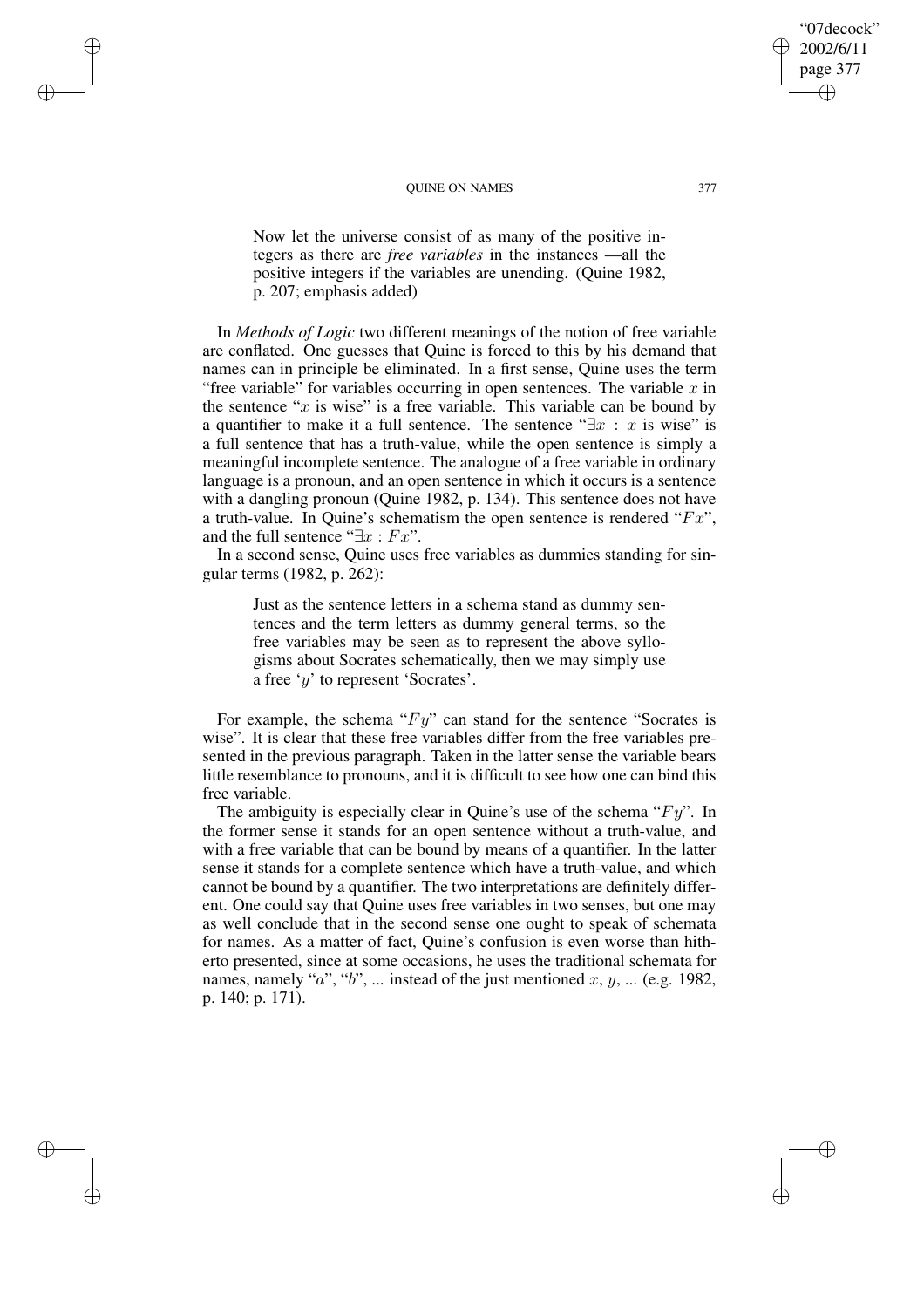#### QUINE ON NAMES 377

✐

✐

✐

✐

Now let the universe consist of as many of the positive integers as there are *free variables* in the instances —all the positive integers if the variables are unending. (Quine 1982, p. 207; emphasis added)

In *Methods of Logic* two different meanings of the notion of free variable are conflated. One guesses that Quine is forced to this by his demand that names can in principle be eliminated. In a first sense, Quine uses the term "free variable" for variables occurring in open sentences. The variable  $x$  in the sentence " $x$  is wise" is a free variable. This variable can be bound by a quantifier to make it a full sentence. The sentence " $\exists x : x$  is wise" is a full sentence that has a truth-value, while the open sentence is simply a meaningful incomplete sentence. The analogue of a free variable in ordinary language is a pronoun, and an open sentence in which it occurs is a sentence with a dangling pronoun (Quine 1982, p. 134). This sentence does not have a truth-value. In Quine's schematism the open sentence is rendered " $Fx$ ", and the full sentence " $\exists x : Fx$ ".

In a second sense, Quine uses free variables as dummies standing for singular terms (1982, p. 262):

Just as the sentence letters in a schema stand as dummy sentences and the term letters as dummy general terms, so the free variables may be seen as to represent the above syllogisms about Socrates schematically, then we may simply use a free 'y' to represent 'Socrates'.

For example, the schema " $Fy$ " can stand for the sentence "Socrates is wise". It is clear that these free variables differ from the free variables presented in the previous paragraph. Taken in the latter sense the variable bears little resemblance to pronouns, and it is difficult to see how one can bind this free variable.

The ambiguity is especially clear in Quine's use of the schema " $Fy$ ". In the former sense it stands for an open sentence without a truth-value, and with a free variable that can be bound by means of a quantifier. In the latter sense it stands for a complete sentence which have a truth-value, and which cannot be bound by a quantifier. The two interpretations are definitely different. One could say that Quine uses free variables in two senses, but one may as well conclude that in the second sense one ought to speak of schemata for names. As a matter of fact, Quine's confusion is even worse than hitherto presented, since at some occasions, he uses the traditional schemata for names, namely " $a$ ", " $b$ ", ... instead of the just mentioned  $x, y, ...$  (e.g. 1982, p. 140; p. 171).

"07decock" 2002/6/11 page 377

✐

✐

✐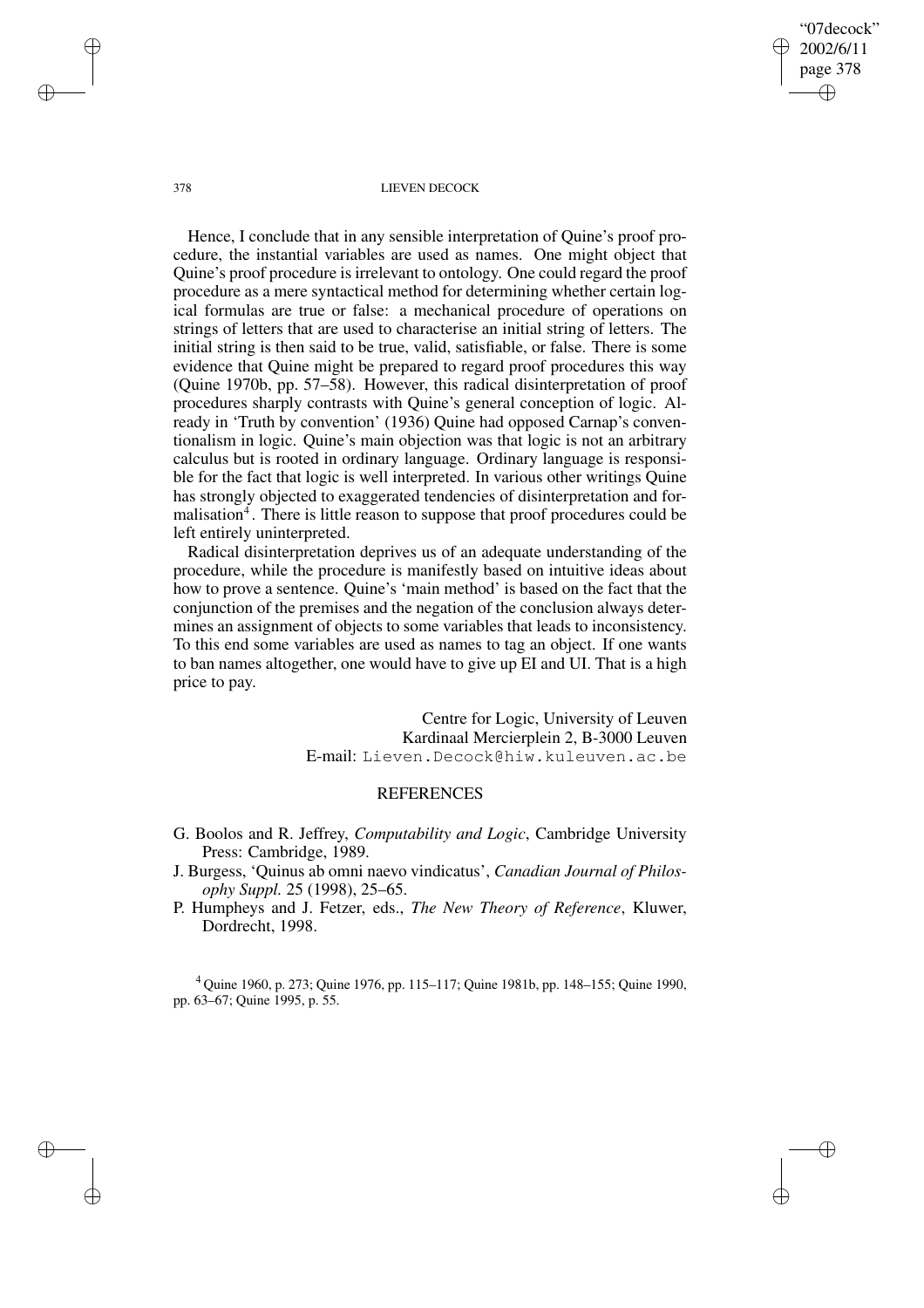"07decock" 2002/6/11 page 378 ✐ ✐

✐

✐

#### 378 LIEVEN DECOCK

Hence, I conclude that in any sensible interpretation of Quine's proof procedure, the instantial variables are used as names. One might object that Quine's proof procedure is irrelevant to ontology. One could regard the proof procedure as a mere syntactical method for determining whether certain logical formulas are true or false: a mechanical procedure of operations on strings of letters that are used to characterise an initial string of letters. The initial string is then said to be true, valid, satisfiable, or false. There is some evidence that Quine might be prepared to regard proof procedures this way (Quine 1970b, pp. 57–58). However, this radical disinterpretation of proof procedures sharply contrasts with Quine's general conception of logic. Already in 'Truth by convention' (1936) Quine had opposed Carnap's conventionalism in logic. Quine's main objection was that logic is not an arbitrary calculus but is rooted in ordinary language. Ordinary language is responsible for the fact that logic is well interpreted. In various other writings Quine has strongly objected to exaggerated tendencies of disinterpretation and formalisation<sup>4</sup>. There is little reason to suppose that proof procedures could be left entirely uninterpreted.

Radical disinterpretation deprives us of an adequate understanding of the procedure, while the procedure is manifestly based on intuitive ideas about how to prove a sentence. Quine's 'main method' is based on the fact that the conjunction of the premises and the negation of the conclusion always determines an assignment of objects to some variables that leads to inconsistency. To this end some variables are used as names to tag an object. If one wants to ban names altogether, one would have to give up EI and UI. That is a high price to pay.

> Centre for Logic, University of Leuven Kardinaal Mercierplein 2, B-3000 Leuven E-mail: Lieven.Decock@hiw.kuleuven.ac.be

## **REFERENCES**

- G. Boolos and R. Jeffrey, *Computability and Logic*, Cambridge University Press: Cambridge, 1989.
- J. Burgess, 'Quinus ab omni naevo vindicatus', *Canadian Journal of Philosophy Suppl.* 25 (1998), 25–65.
- P. Humpheys and J. Fetzer, eds., *The New Theory of Reference*, Kluwer, Dordrecht, 1998.

<sup>4</sup> Quine 1960, p. 273; Quine 1976, pp. 115–117; Quine 1981b, pp. 148–155; Quine 1990, pp. 63–67; Quine 1995, p. 55.

✐

✐

✐